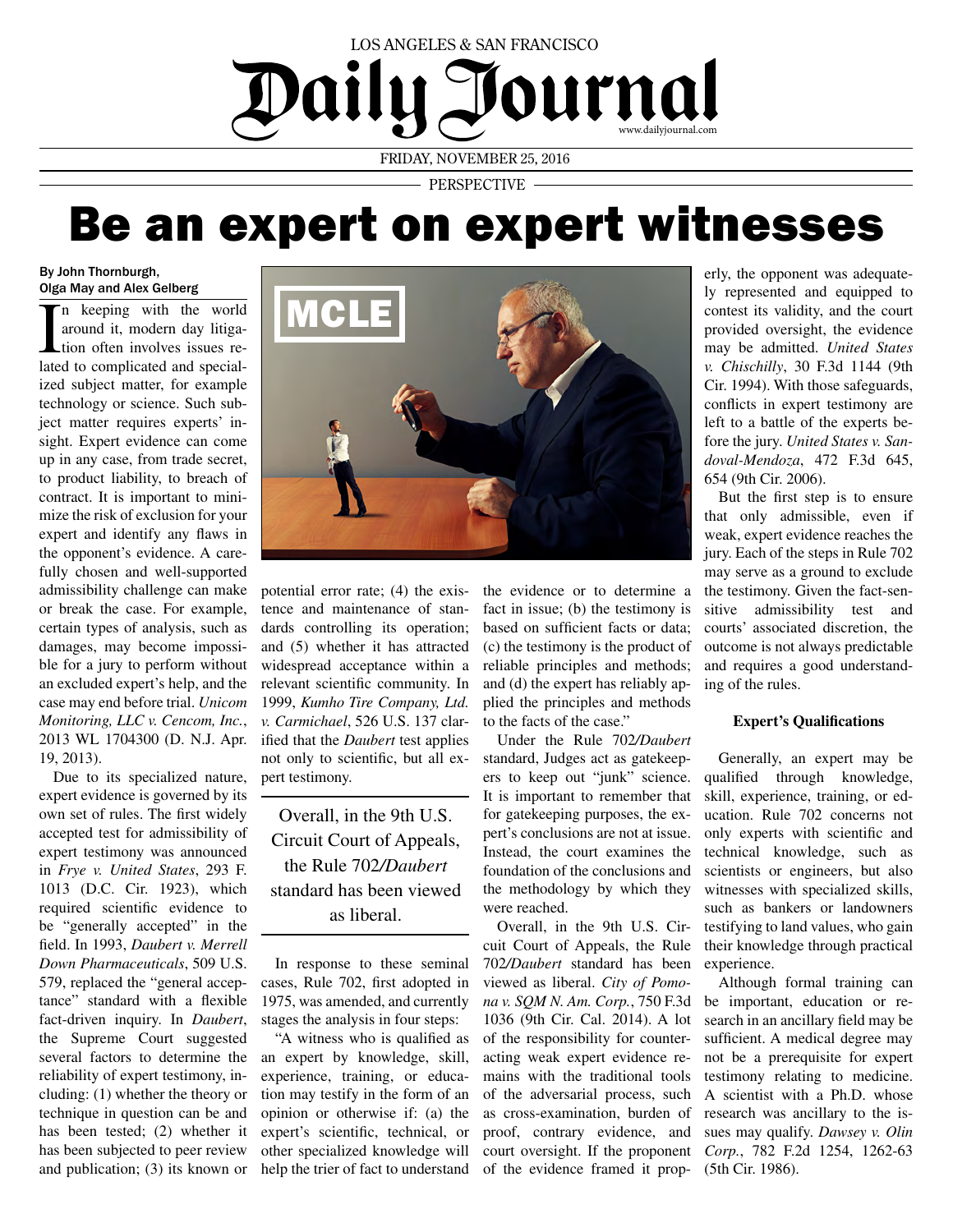# LOS ANGELES & SAN FRANCISCO Journal Dailu www.dailyjournal.com FRIDAY, NOVEMBER 25, 2016

PERSPECTIVE

# Be an expert on expert witnesses

#### By John Thornburgh, Olga May and Alex Gelberg

In keeping with the world<br>around it, modern day litiga-<br>tion often involves issues re-<br>lated to complicated and specialn keeping with the world around it, modern day litigation often involves issues reized subject matter, for example technology or science. Such subject matter requires experts' insight. Expert evidence can come up in any case, from trade secret, to product liability, to breach of contract. It is important to minimize the risk of exclusion for your expert and identify any flaws in the opponent's evidence. A carefully chosen and well-supported admissibility challenge can make or break the case. For example, certain types of analysis, such as damages, may become impossible for a jury to perform without an excluded expert's help, and the case may end before trial. *Unicom Monitoring, LLC v. Cencom, Inc.*, 2013 WL 1704300 (D. N.J. Apr. 19, 2013).

Due to its specialized nature, pert testimony. expert evidence is governed by its own set of rules. The first widely accepted test for admissibility of expert testimony was announced in *Frye v. United States*, 293 F. 1013 (D.C. Cir. 1923), which required scientific evidence to be "generally accepted" in the field. In 1993, *Daubert v. Merrell Down Pharmaceuticals*, 509 U.S. 579, replaced the "general acceptance" standard with a flexible fact-driven inquiry. In *Daubert*, the Supreme Court suggested several factors to determine the reliability of expert testimony, including: (1) whether the theory or technique in question can be and has been tested; (2) whether it has been subjected to peer review and publication; (3) its known or



potential error rate; (4) the existence and maintenance of standards controlling its operation; and (5) whether it has attracted widespread acceptance within a relevant scientific community. In 1999, *Kumho Tire Company, Ltd. v. Carmichael*, 526 U.S. 137 clarified that the *Daubert* test applies not only to scientific, but all ex-

Overall, in the 9th U.S. Circuit Court of Appeals, the Rule 702*/Daubert* standard has been viewed as liberal.

In response to these seminal cases, Rule 702, first adopted in 1975, was amended, and currently stages the analysis in four steps:

"A witness who is qualified as an expert by knowledge, skill, experience, training, or education may testify in the form of an opinion or otherwise if: (a) the expert's scientific, technical, or other specialized knowledge will help the trier of fact to understand the evidence or to determine a fact in issue; (b) the testimony is based on sufficient facts or data; (c) the testimony is the product of reliable principles and methods; and (d) the expert has reliably applied the principles and methods to the facts of the case."

Under the Rule 702*/Daubert*  standard, Judges act as gatekeepers to keep out "junk" science. It is important to remember that for gatekeeping purposes, the expert's conclusions are not at issue. Instead, the court examines the foundation of the conclusions and the methodology by which they were reached.

Overall, in the 9th U.S. Circuit Court of Appeals, the Rule 702*/Daubert* standard has been viewed as liberal. *City of Pomona v. SQM N. Am. Corp.*, 750 F.3d 1036 (9th Cir. Cal. 2014). A lot of the responsibility for counteracting weak expert evidence remains with the traditional tools of the adversarial process, such as cross-examination, burden of proof, contrary evidence, and court oversight. If the proponent of the evidence framed it prop-

erly, the opponent was adequately represented and equipped to contest its validity, and the court provided oversight, the evidence may be admitted. *United States v. Chischilly*, 30 F.3d 1144 (9th Cir. 1994). With those safeguards, conflicts in expert testimony are left to a battle of the experts before the jury. *United States v. Sandoval-Mendoza*, 472 F.3d 645, 654 (9th Cir. 2006).

But the first step is to ensure that only admissible, even if weak, expert evidence reaches the jury. Each of the steps in Rule 702 may serve as a ground to exclude the testimony. Given the fact-sensitive admissibility test and courts' associated discretion, the outcome is not always predictable and requires a good understanding of the rules.

## **Expert's Qualifications**

Generally, an expert may be qualified through knowledge, skill, experience, training, or education. Rule 702 concerns not only experts with scientific and technical knowledge, such as scientists or engineers, but also witnesses with specialized skills, such as bankers or landowners testifying to land values, who gain their knowledge through practical experience.

Although formal training can be important, education or research in an ancillary field may be sufficient. A medical degree may not be a prerequisite for expert testimony relating to medicine. A scientist with a Ph.D. whose research was ancillary to the issues may qualify. *Dawsey v. Olin Corp.*, 782 F.2d 1254, 1262-63 (5th Cir. 1986).